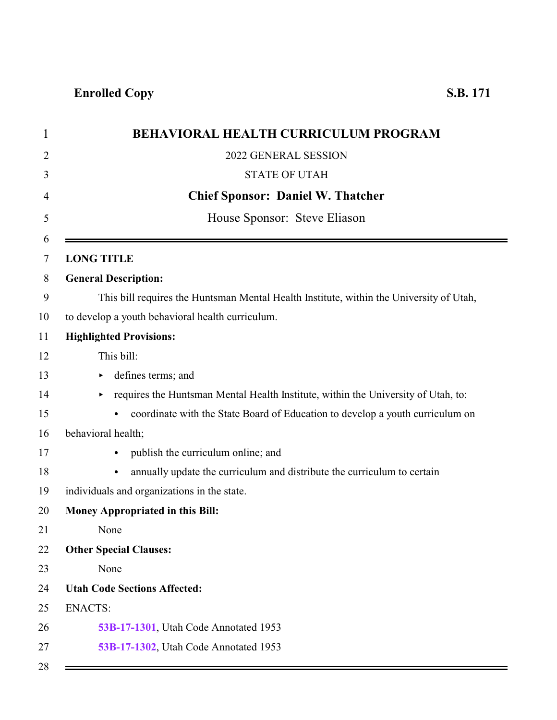| $\mathbf 1$    | <b>BEHAVIORAL HEALTH CURRICULUM PROGRAM</b>                                             |
|----------------|-----------------------------------------------------------------------------------------|
| $\overline{2}$ | 2022 GENERAL SESSION                                                                    |
| 3              | <b>STATE OF UTAH</b>                                                                    |
| 4              | <b>Chief Sponsor: Daniel W. Thatcher</b>                                                |
| 5              | House Sponsor: Steve Eliason                                                            |
| 6              |                                                                                         |
| 7              | <b>LONG TITLE</b>                                                                       |
| 8              | <b>General Description:</b>                                                             |
| 9              | This bill requires the Huntsman Mental Health Institute, within the University of Utah, |
| 10             | to develop a youth behavioral health curriculum.                                        |
| 11             | <b>Highlighted Provisions:</b>                                                          |
| 12             | This bill:                                                                              |
| 13             | defines terms; and                                                                      |
| 14             | requires the Huntsman Mental Health Institute, within the University of Utah, to:       |
| 15             | coordinate with the State Board of Education to develop a youth curriculum on           |
| 16             | behavioral health;                                                                      |
| 17             | publish the curriculum online; and<br>$\bullet$                                         |
| 18             | annually update the curriculum and distribute the curriculum to certain<br>$\bullet$    |
| 19             | individuals and organizations in the state.                                             |
| 20             | <b>Money Appropriated in this Bill:</b>                                                 |
| 21             | None                                                                                    |
| 22             | <b>Other Special Clauses:</b>                                                           |
| 23             | None                                                                                    |
| 24             | <b>Utah Code Sections Affected:</b>                                                     |
| 25             | <b>ENACTS:</b>                                                                          |
| 26             | 53B-17-1301, Utah Code Annotated 1953                                                   |
| 27             | 53B-17-1302, Utah Code Annotated 1953                                                   |
| 28             |                                                                                         |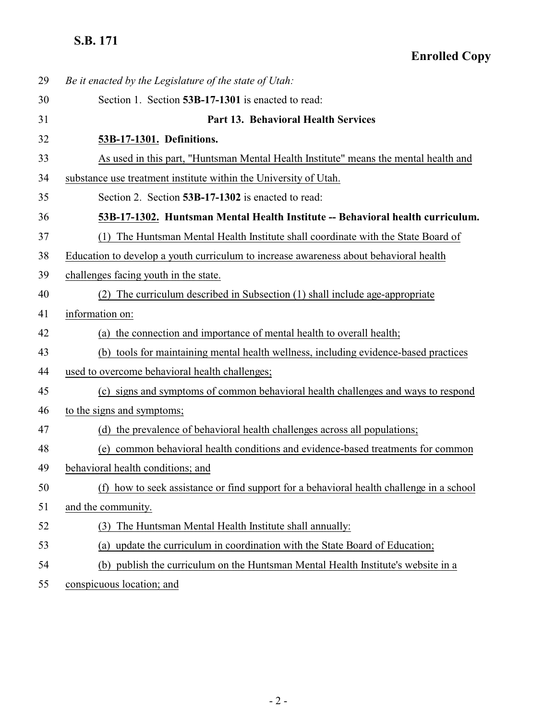## <span id="page-1-1"></span><span id="page-1-0"></span>**S.B. 171**

| 29 | Be it enacted by the Legislature of the state of Utah:                                |
|----|---------------------------------------------------------------------------------------|
| 30 | Section 1. Section 53B-17-1301 is enacted to read:                                    |
| 31 | Part 13. Behavioral Health Services                                                   |
| 32 | 53B-17-1301. Definitions.                                                             |
| 33 | As used in this part, "Huntsman Mental Health Institute" means the mental health and  |
| 34 | substance use treatment institute within the University of Utah.                      |
| 35 | Section 2. Section 53B-17-1302 is enacted to read:                                    |
| 36 | 53B-17-1302. Huntsman Mental Health Institute -- Behavioral health curriculum.        |
| 37 | The Huntsman Mental Health Institute shall coordinate with the State Board of<br>(1)  |
| 38 | Education to develop a youth curriculum to increase awareness about behavioral health |
| 39 | challenges facing youth in the state.                                                 |
| 40 | The curriculum described in Subsection (1) shall include age-appropriate              |
| 41 | information on:                                                                       |
| 42 | (a) the connection and importance of mental health to overall health;                 |
| 43 | (b) tools for maintaining mental health wellness, including evidence-based practices  |
| 44 | used to overcome behavioral health challenges;                                        |
| 45 | (c) signs and symptoms of common behavioral health challenges and ways to respond     |
| 46 | to the signs and symptoms;                                                            |
| 47 | (d) the prevalence of behavioral health challenges across all populations;            |
| 48 | (e) common behavioral health conditions and evidence-based treatments for common      |
| 49 | behavioral health conditions; and                                                     |
| 50 | how to seek assistance or find support for a behavioral health challenge in a school  |
| 51 | and the community.                                                                    |
| 52 | The Huntsman Mental Health Institute shall annually:<br>(3)                           |
| 53 | (a) update the curriculum in coordination with the State Board of Education;          |
| 54 | (b) publish the curriculum on the Huntsman Mental Health Institute's website in a     |
|    |                                                                                       |

conspicuous location; and